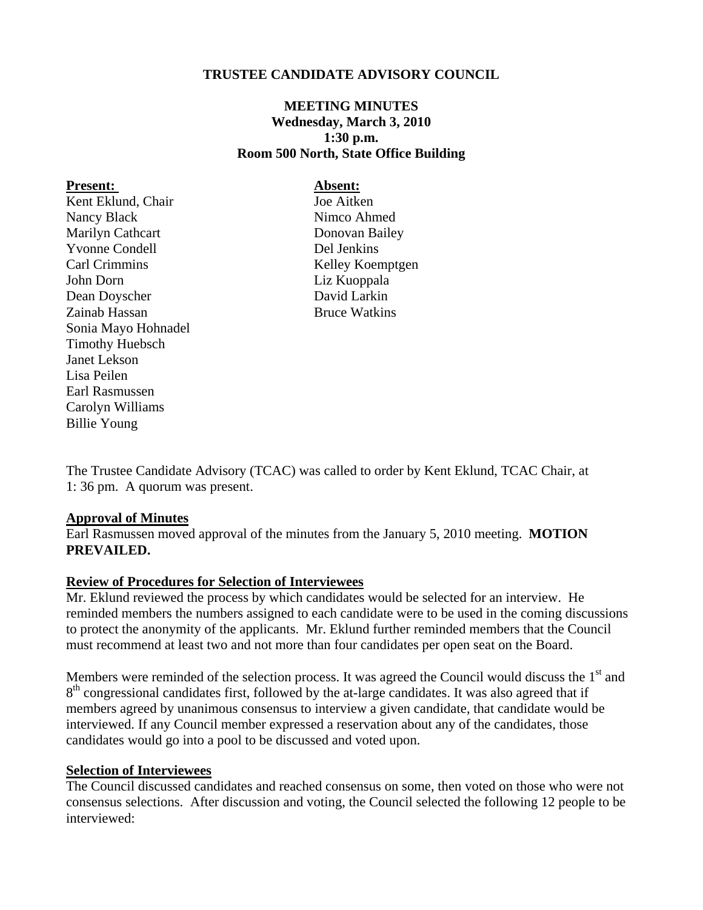## **TRUSTEE CANDIDATE ADVISORY COUNCIL**

# **MEETING MINUTES Wednesday, March 3, 2010 1:30 p.m. Room 500 North, State Office Building**

#### Present: Absent:

Kent Eklund, Chair Joe Aitken Nancy Black Nimco Ahmed Marilyn Cathcart Donovan Bailey Yvonne Condell Del Jenkins Carl Crimmins Kelley Koemptgen John Dorn Liz Kuoppala Dean Doyscher David Larkin Zainab Hassan Bruce Watkins Sonia Mayo Hohnadel Timothy Huebsch Janet Lekson Lisa Peilen Earl Rasmussen Carolyn Williams Billie Young

The Trustee Candidate Advisory (TCAC) was called to order by Kent Eklund, TCAC Chair, at 1: 36 pm. A quorum was present.

### **Approval of Minutes**

Earl Rasmussen moved approval of the minutes from the January 5, 2010 meeting. **MOTION PREVAILED.** 

### **Review of Procedures for Selection of Interviewees**

Mr. Eklund reviewed the process by which candidates would be selected for an interview. He reminded members the numbers assigned to each candidate were to be used in the coming discussions to protect the anonymity of the applicants. Mr. Eklund further reminded members that the Council must recommend at least two and not more than four candidates per open seat on the Board.

Members were reminded of the selection process. It was agreed the Council would discuss the  $1<sup>st</sup>$  and 8<sup>th</sup> congressional candidates first, followed by the at-large candidates. It was also agreed that if members agreed by unanimous consensus to interview a given candidate, that candidate would be interviewed. If any Council member expressed a reservation about any of the candidates, those candidates would go into a pool to be discussed and voted upon.

#### **Selection of Interviewees**

The Council discussed candidates and reached consensus on some, then voted on those who were not consensus selections. After discussion and voting, the Council selected the following 12 people to be interviewed: